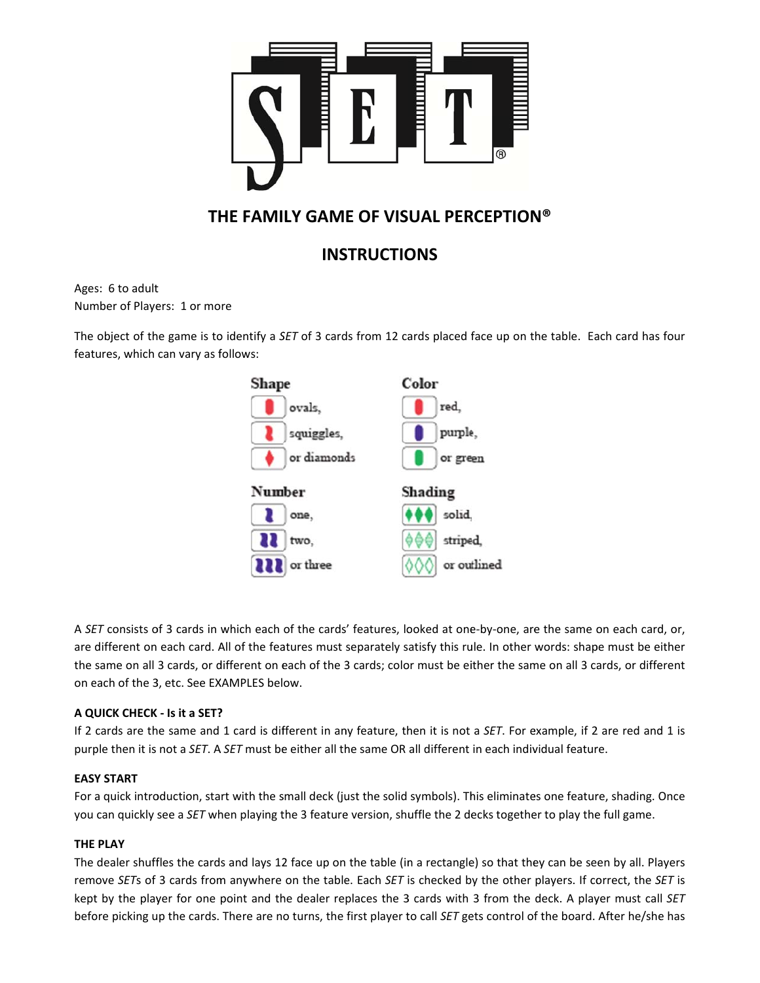

# $\mathbf{F}$  **FAMILY GAME OF VISUAL PERCEPTION®**

## **INSTRUCTIONS**

Ages: 6 to adult Ages: 6 to adult<br>Number of Players: 1 or more

The object of the game is to identify a *SET* of 3 cards from 12 cards placed face up on the table. Each card has four feat ures, which can vary as f follows:



A SET consists of 3 cards in which each of the cards' features, looked at one-by-one, are the same on each card, or, are different on each card. All of the features must separately satisfy this rule. In other words: shape must be either the same on all 3 cards, or different on each of the 3 cards; color must be either the same on all 3 cards, or different on each of the 3, etc. See EXAMPLES below.

### **A QU UICK CHECK ‐ Is it a SET? ?**

If 2 cards are the same and 1 card is different in any feature, then it is not a SET. For example, if 2 are red and 1 is purple then it is not a *SET*. A *SET* must be either all the same OR all different in each individual feature.

#### **EASY Y START**

For a quick introduction, start with the small deck (just the solid symbols). This eliminates one feature, shading. Once you can quickly see a SET when playing the 3 feature version, shuffle the 2 decks together to play the full game.

#### **THE PLAY**

The dealer shuffles the cards and lays 12 face up on the table (in a rectangle) so that they can be seen by all. Players remove SETs of 3 cards from anywhere on the table. Each SET is checked by the other players. If correct, the SET is kept by the player for one point and the dealer replaces the 3 cards with 3 from the deck. A player must call SET before picking up the cards. There are no turns, the first player to call *SET* gets control of the board. After he/she has